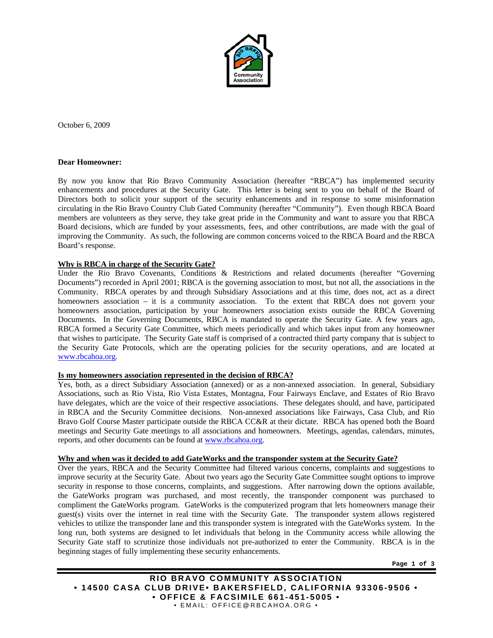

October 6, 2009

#### **Dear Homeowner:**

By now you know that Rio Bravo Community Association (hereafter "RBCA") has implemented security enhancements and procedures at the Security Gate. This letter is being sent to you on behalf of the Board of Directors both to solicit your support of the security enhancements and in response to some misinformation circulating in the Rio Bravo Country Club Gated Community (hereafter "Community"). Even though RBCA Board members are volunteers as they serve, they take great pride in the Community and want to assure you that RBCA Board decisions, which are funded by your assessments, fees, and other contributions, are made with the goal of improving the Community. As such, the following are common concerns voiced to the RBCA Board and the RBCA Board's response.

### **Why is RBCA in charge of the Security Gate?**

Under the Rio Bravo Covenants, Conditions & Restrictions and related documents (hereafter "Governing Documents") recorded in April 2001; RBCA is the governing association to most, but not all, the associations in the Community. RBCA operates by and through Subsidiary Associations and at this time, does not, act as a direct homeowners association – it is a community association. To the extent that RBCA does not govern your homeowners association, participation by your homeowners association exists outside the RBCA Governing Documents. In the Governing Documents, RBCA is mandated to operate the Security Gate. A few years ago, RBCA formed a Security Gate Committee, which meets periodically and which takes input from any homeowner that wishes to participate. The Security Gate staff is comprised of a contracted third party company that is subject to the Security Gate Protocols, which are the operating policies for the security operations, and are located at www.rbcahoa.org.

### **Is my homeowners association represented in the decision of RBCA?**

Yes, both, as a direct Subsidiary Association (annexed) or as a non-annexed association. In general, Subsidiary Associations, such as Rio Vista, Rio Vista Estates, Montagna, Four Fairways Enclave, and Estates of Rio Bravo have delegates, which are the voice of their respective associations. These delegates should, and have, participated in RBCA and the Security Committee decisions. Non-annexed associations like Fairways, Casa Club, and Rio Bravo Golf Course Master participate outside the RBCA CC&R at their dictate. RBCA has opened both the Board meetings and Security Gate meetings to all associations and homeowners. Meetings, agendas, calendars, minutes, reports, and other documents can be found at www.rbcahoa.org.

### **Why and when was it decided to add GateWorks and the transponder system at the Security Gate?**

Over the years, RBCA and the Security Committee had filtered various concerns, complaints and suggestions to improve security at the Security Gate. About two years ago the Security Gate Committee sought options to improve security in response to those concerns, complaints, and suggestions. After narrowing down the options available, the GateWorks program was purchased, and most recently, the transponder component was purchased to compliment the GateWorks program. GateWorks is the computerized program that lets homeowners manage their guest(s) visits over the internet in real time with the Security Gate. The transponder system allows registered vehicles to utilize the transponder lane and this transponder system is integrated with the GateWorks system. In the long run, both systems are designed to let individuals that belong in the Community access while allowing the Security Gate staff to scrutinize those individuals not pre-authorized to enter the Community. RBCA is in the beginning stages of fully implementing these security enhancements.

**Page 1 of 3** 

**RIO BRAVO COMMUNITY ASSOCIATION • 14500 CASA CLUB DRIVE• BAKERSFIELD, CALIFORNIA 93306-9506 • • OFFICE & FACSIMILE 661-451-5005 •**  • EMAIL: OFFICE@RBCAHOA.ORG •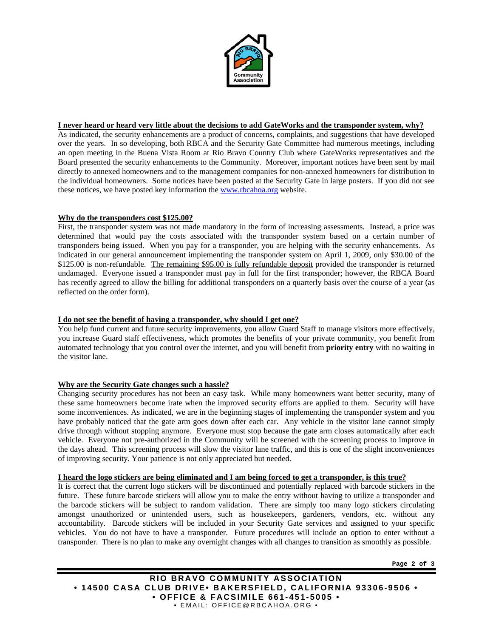

## **I never heard or heard very little about the decisions to add GateWorks and the transponder system, why?**

As indicated, the security enhancements are a product of concerns, complaints, and suggestions that have developed over the years. In so developing, both RBCA and the Security Gate Committee had numerous meetings, including an open meeting in the Buena Vista Room at Rio Bravo Country Club where GateWorks representatives and the Board presented the security enhancements to the Community. Moreover, important notices have been sent by mail directly to annexed homeowners and to the management companies for non-annexed homeowners for distribution to the individual homeowners. Some notices have been posted at the Security Gate in large posters. If you did not see these notices, we have posted key information the www.rbcahoa.org website.

## **Why do the transponders cost \$125.00?**

First, the transponder system was not made mandatory in the form of increasing assessments. Instead, a price was determined that would pay the costs associated with the transponder system based on a certain number of transponders being issued. When you pay for a transponder, you are helping with the security enhancements. As indicated in our general announcement implementing the transponder system on April 1, 2009, only \$30.00 of the \$125.00 is non-refundable. The remaining \$95.00 is fully refundable deposit provided the transponder is returned undamaged. Everyone issued a transponder must pay in full for the first transponder; however, the RBCA Board has recently agreed to allow the billing for additional transponders on a quarterly basis over the course of a year (as reflected on the order form).

## **I do not see the benefit of having a transponder, why should I get one?**

You help fund current and future security improvements, you allow Guard Staff to manage visitors more effectively, you increase Guard staff effectiveness, which promotes the benefits of your private community, you benefit from automated technology that you control over the internet, and you will benefit from **priority entry** with no waiting in the visitor lane.

## **Why are the Security Gate changes such a hassle?**

Changing security procedures has not been an easy task. While many homeowners want better security, many of these same homeowners become irate when the improved security efforts are applied to them. Security will have some inconveniences. As indicated, we are in the beginning stages of implementing the transponder system and you have probably noticed that the gate arm goes down after each car. Any vehicle in the visitor lane cannot simply drive through without stopping anymore. Everyone must stop because the gate arm closes automatically after each vehicle. Everyone not pre-authorized in the Community will be screened with the screening process to improve in the days ahead. This screening process will slow the visitor lane traffic, and this is one of the slight inconveniences of improving security. Your patience is not only appreciated but needed.

### **I heard the logo stickers are being eliminated and I am being forced to get a transponder, is this true?**

It is correct that the current logo stickers will be discontinued and potentially replaced with barcode stickers in the future. These future barcode stickers will allow you to make the entry without having to utilize a transponder and the barcode stickers will be subject to random validation. There are simply too many logo stickers circulating amongst unauthorized or unintended users, such as housekeepers, gardeners, vendors, etc. without any accountability. Barcode stickers will be included in your Security Gate services and assigned to your specific vehicles. You do not have to have a transponder. Future procedures will include an option to enter without a transponder. There is no plan to make any overnight changes with all changes to transition as smoothly as possible.

**Page 2 of 3** 

**RIO BRAVO COMMUNITY ASSOCIATION • 14500 CASA CLUB DRIVE• BAKERSFIELD, CALIFORNIA 93306-9506 • • OFFICE & FACSIMILE 661-451-5005 •**  • EMAIL: OFFICE@RBCAHOA.ORG •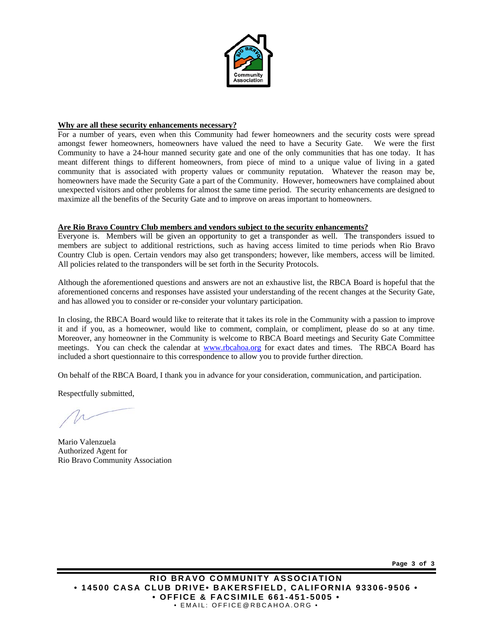

## **Why are all these security enhancements necessary?**

For a number of years, even when this Community had fewer homeowners and the security costs were spread amongst fewer homeowners, homeowners have valued the need to have a Security Gate. We were the first Community to have a 24-hour manned security gate and one of the only communities that has one today. It has meant different things to different homeowners, from piece of mind to a unique value of living in a gated community that is associated with property values or community reputation. Whatever the reason may be, homeowners have made the Security Gate a part of the Community. However, homeowners have complained about unexpected visitors and other problems for almost the same time period. The security enhancements are designed to maximize all the benefits of the Security Gate and to improve on areas important to homeowners.

### **Are Rio Bravo Country Club members and vendors subject to the security enhancements?**

Everyone is. Members will be given an opportunity to get a transponder as well. The transponders issued to members are subject to additional restrictions, such as having access limited to time periods when Rio Bravo Country Club is open. Certain vendors may also get transponders; however, like members, access will be limited. All policies related to the transponders will be set forth in the Security Protocols.

Although the aforementioned questions and answers are not an exhaustive list, the RBCA Board is hopeful that the aforementioned concerns and responses have assisted your understanding of the recent changes at the Security Gate, and has allowed you to consider or re-consider your voluntary participation.

In closing, the RBCA Board would like to reiterate that it takes its role in the Community with a passion to improve it and if you, as a homeowner, would like to comment, complain, or compliment, please do so at any time. Moreover, any homeowner in the Community is welcome to RBCA Board meetings and Security Gate Committee meetings. You can check the calendar at www.rbcahoa.org for exact dates and times. The RBCA Board has included a short questionnaire to this correspondence to allow you to provide further direction.

On behalf of the RBCA Board, I thank you in advance for your consideration, communication, and participation.

Respectfully submitted,

Mario Valenzuela Authorized Agent for Rio Bravo Community Association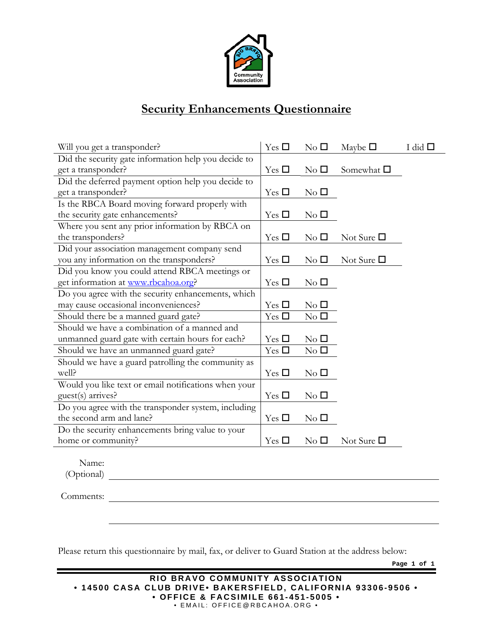

# **Security Enhancements Questionnaire**

| Will you get a transponder?                          | Yes $\square$ | $\rm No$ $\Box$        | Maybe $\square$    | I did $\Box$ |
|------------------------------------------------------|---------------|------------------------|--------------------|--------------|
| Did the security gate information help you decide to |               |                        |                    |              |
| get a transponder?                                   | Yes $\square$ | $\rm No$ $\Box$        | Somewhat $\square$ |              |
| Did the deferred payment option help you decide to   |               |                        |                    |              |
| get a transponder?                                   | Yes $\Box$    | $\rm No~\Box$          |                    |              |
| Is the RBCA Board moving forward properly with       |               |                        |                    |              |
| the security gate enhancements?                      | Yes $\square$ | $\rm No$ $\Box$        |                    |              |
| Where you sent any prior information by RBCA on      |               |                        |                    |              |
| the transponders?                                    | Yes $\square$ | $\rm No~\Box$          | Not Sure $\Box$    |              |
| Did your association management company send         |               |                        |                    |              |
| you any information on the transponders?             | Yes $\Box$    | $\rm No~\Box$          | Not Sure $\Box$    |              |
| Did you know you could attend RBCA meetings or       |               |                        |                    |              |
| get information at www.rbcahoa.org?                  | Yes $\square$ | $\rm No$ $\Box$        |                    |              |
| Do you agree with the security enhancements, which   |               |                        |                    |              |
| may cause occasional inconveniences?                 | Yes $\square$ | $\rm No~\Box$          |                    |              |
| Should there be a manned guard gate?                 | Yes $\square$ | $\mathrm{No}\ \square$ |                    |              |
| Should we have a combination of a manned and         |               |                        |                    |              |
| unmanned guard gate with certain hours for each?     | Yes $\square$ | $\rm No$ $\Box$        |                    |              |
| Should we have an unmanned guard gate?               | Yes $\square$ | $\rm No$ $\Box$        |                    |              |
| Should we have a guard patrolling the community as   |               |                        |                    |              |
| well?                                                | Yes $\square$ | $\rm No$ $\Box$        |                    |              |
| Would you like text or email notifications when your |               |                        |                    |              |
| guest(s) arrives?                                    | Yes $\square$ | $\rm No$ $\Box$        |                    |              |
| Do you agree with the transponder system, including  |               |                        |                    |              |
| the second arm and lane?                             | Yes $\square$ | $\rm No$ $\Box$        |                    |              |
| Do the security enhancements bring value to your     |               |                        |                    |              |
| home or community?                                   | Yes $\Box$    | $\rm No~\Box$          | Not Sure $\Box$    |              |
|                                                      |               |                        |                    |              |
| Name <sup>.</sup>                                    |               |                        |                    |              |

Name: (Optional)

Comments:

Please return this questionnaire by mail, fax, or deliver to Guard Station at the address below:

**Page 1 of 1**